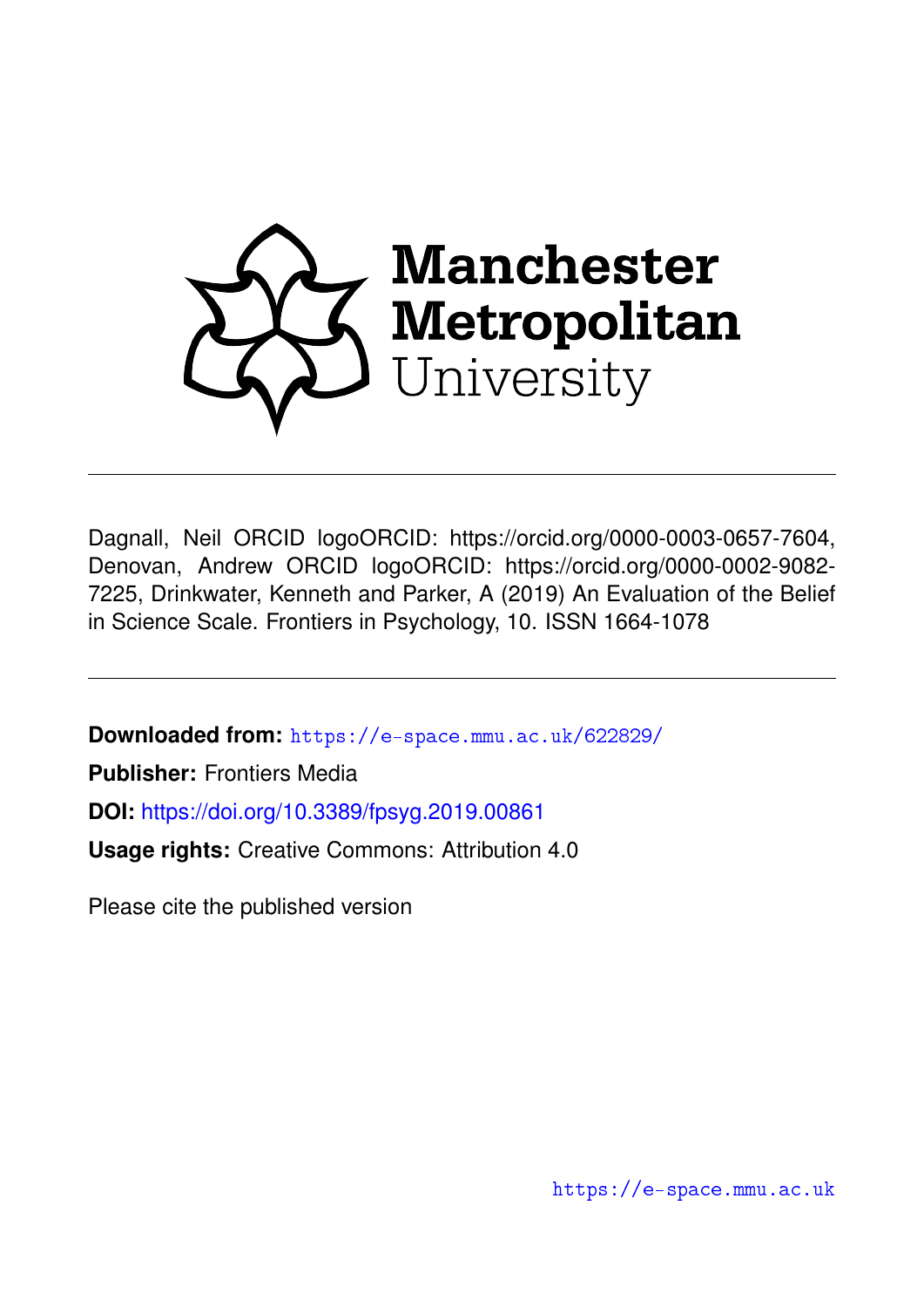

Dagnall, Neil ORCID logoORCID: https://orcid.org/0000-0003-0657-7604, Denovan, Andrew ORCID logoORCID: https://orcid.org/0000-0002-9082- 7225, Drinkwater, Kenneth and Parker, A (2019) An Evaluation of the Belief in Science Scale. Frontiers in Psychology, 10. ISSN 1664-1078

**Downloaded from:** <https://e-space.mmu.ac.uk/622829/>

**Publisher:** Frontiers Media

**DOI:** <https://doi.org/10.3389/fpsyg.2019.00861>

**Usage rights:** Creative Commons: Attribution 4.0

Please cite the published version

<https://e-space.mmu.ac.uk>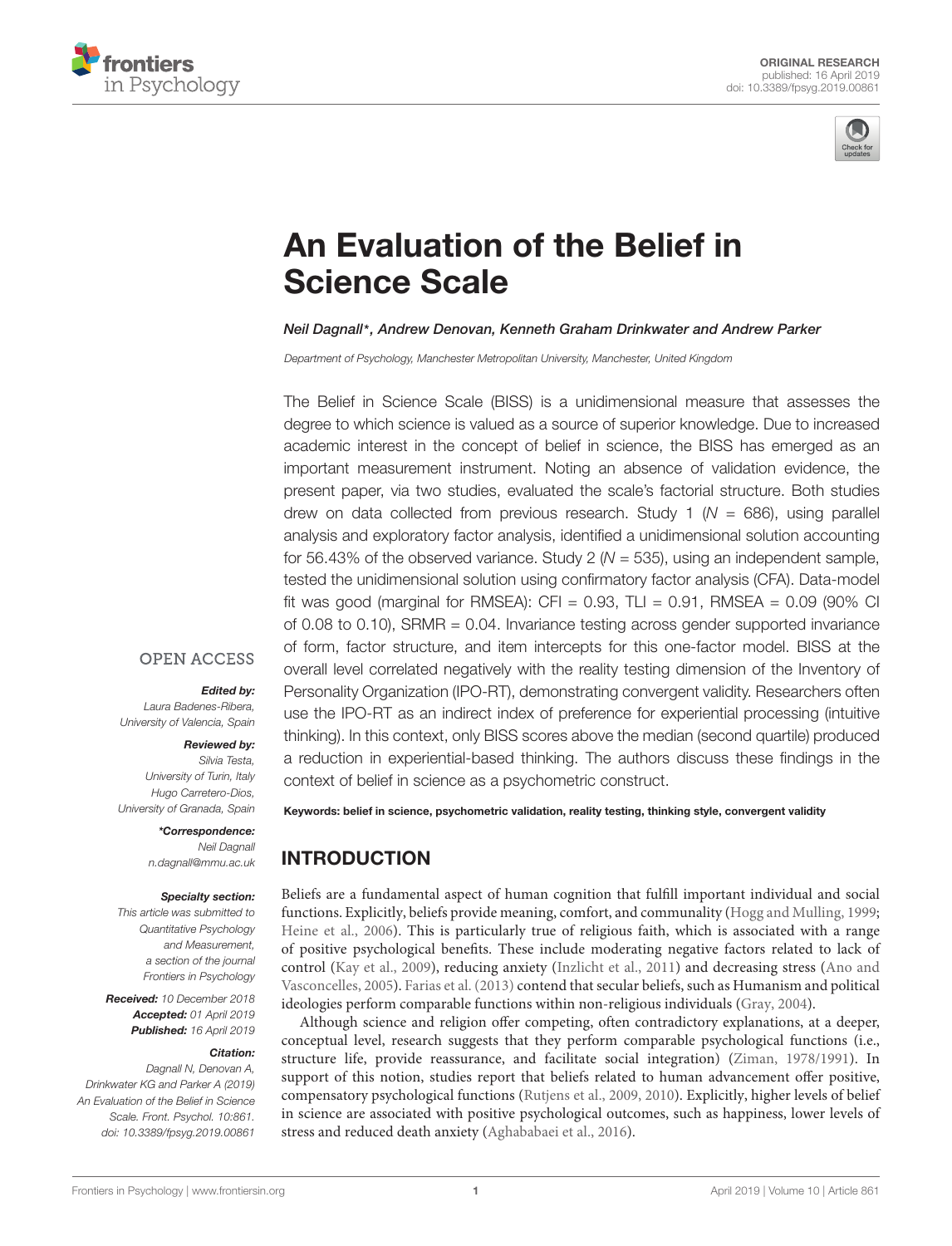



# [An Evaluation of the Belief in](https://www.frontiersin.org/articles/10.3389/fpsyg.2019.00861/full) Science Scale

#### [Neil Dagnall](http://loop.frontiersin.org/people/38621/overview)\*, [Andrew Denovan,](http://loop.frontiersin.org/people/213480/overview) [Kenneth Graham Drinkwater](http://loop.frontiersin.org/people/214173/overview) and [Andrew Parker](http://loop.frontiersin.org/people/77306/overview)

Department of Psychology, Manchester Metropolitan University, Manchester, United Kingdom

The Belief in Science Scale (BISS) is a unidimensional measure that assesses the degree to which science is valued as a source of superior knowledge. Due to increased academic interest in the concept of belief in science, the BISS has emerged as an important measurement instrument. Noting an absence of validation evidence, the present paper, via two studies, evaluated the scale's factorial structure. Both studies drew on data collected from previous research. Study 1 ( $N = 686$ ), using parallel analysis and exploratory factor analysis, identified a unidimensional solution accounting for 56.43% of the observed variance. Study 2 ( $N = 535$ ), using an independent sample, tested the unidimensional solution using confirmatory factor analysis (CFA). Data-model fit was good (marginal for RMSEA): CFI =  $0.93$ , TLI =  $0.91$ , RMSEA =  $0.09$  (90% CI of 0.08 to 0.10), SRMR = 0.04. Invariance testing across gender supported invariance of form, factor structure, and item intercepts for this one-factor model. BISS at the overall level correlated negatively with the reality testing dimension of the Inventory of Personality Organization (IPO-RT), demonstrating convergent validity. Researchers often use the IPO-RT as an indirect index of preference for experiential processing (intuitive thinking). In this context, only BISS scores above the median (second quartile) produced a reduction in experiential-based thinking. The authors discuss these findings in the context of belief in science as a psychometric construct.

## **OPEN ACCESS**

#### Edited by:

Laura Badenes-Ribera, University of Valencia, Spain

#### Reviewed by:

Silvia Testa, University of Turin, Italy Hugo Carretero-Dios, University of Granada, Spain

#### \*Correspondence: Neil Dagnall n.dagnall@mmu.ac.uk

#### Specialty section:

This article was submitted to Quantitative Psychology and Measurement, a section of the journal Frontiers in Psychology

Received: 10 December 2018 Accepted: 01 April 2019 Published: 16 April 2019

#### Citation:

Dagnall N, Denovan A, Drinkwater KG and Parker A (2019) An Evaluation of the Belief in Science Scale. Front. Psychol. 10:861. doi: [10.3389/fpsyg.2019.00861](https://doi.org/10.3389/fpsyg.2019.00861)

Keywords: belief in science, psychometric validation, reality testing, thinking style, convergent validity

## INTRODUCTION

Beliefs are a fundamental aspect of human cognition that fulfill important individual and social functions. Explicitly, beliefs provide meaning, comfort, and communality [\(Hogg and Mulling,](#page-8-0) [1999;](#page-8-0) [Heine et al.,](#page-8-1) [2006\)](#page-8-1). This is particularly true of religious faith, which is associated with a range of positive psychological benefits. These include moderating negative factors related to lack of control [\(Kay et al.,](#page-8-2) [2009\)](#page-8-2), reducing anxiety [\(Inzlicht et al.,](#page-8-3) [2011\)](#page-8-3) and decreasing stress [\(Ano and](#page-8-4) [Vasconcelles,](#page-8-4) [2005\)](#page-8-4). [Farias et al.](#page-8-5) [\(2013\)](#page-8-5) contend that secular beliefs, such as Humanism and political ideologies perform comparable functions within non-religious individuals [\(Gray,](#page-8-6) [2004\)](#page-8-6).

Although science and religion offer competing, often contradictory explanations, at a deeper, conceptual level, research suggests that they perform comparable psychological functions (i.e., structure life, provide reassurance, and facilitate social integration) [\(Ziman,](#page-9-0) [1978/1991\)](#page-9-0). In support of this notion, studies report that beliefs related to human advancement offer positive, compensatory psychological functions [\(Rutjens et al.,](#page-9-1) [2009,](#page-9-1) [2010\)](#page-9-2). Explicitly, higher levels of belief in science are associated with positive psychological outcomes, such as happiness, lower levels of stress and reduced death anxiety [\(Aghababaei et al.,](#page-8-7) [2016\)](#page-8-7).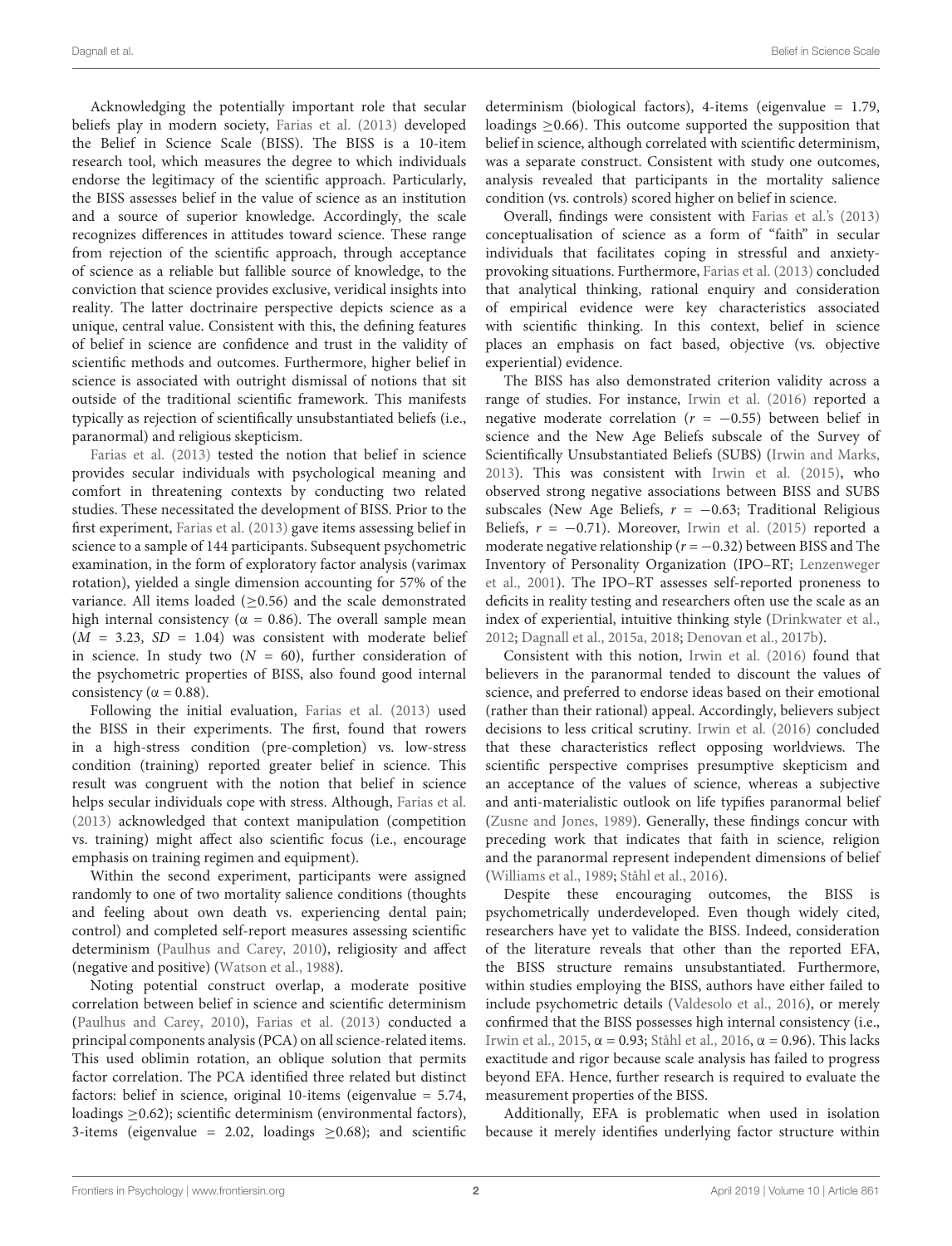Acknowledging the potentially important role that secular beliefs play in modern society, [Farias et al.](#page-8-5) [\(2013\)](#page-8-5) developed the Belief in Science Scale (BISS). The BISS is a 10-item research tool, which measures the degree to which individuals endorse the legitimacy of the scientific approach. Particularly, the BISS assesses belief in the value of science as an institution and a source of superior knowledge. Accordingly, the scale recognizes differences in attitudes toward science. These range from rejection of the scientific approach, through acceptance of science as a reliable but fallible source of knowledge, to the conviction that science provides exclusive, veridical insights into reality. The latter doctrinaire perspective depicts science as a unique, central value. Consistent with this, the defining features of belief in science are confidence and trust in the validity of scientific methods and outcomes. Furthermore, higher belief in science is associated with outright dismissal of notions that sit outside of the traditional scientific framework. This manifests typically as rejection of scientifically unsubstantiated beliefs (i.e., paranormal) and religious skepticism.

[Farias et al.](#page-8-5) [\(2013\)](#page-8-5) tested the notion that belief in science provides secular individuals with psychological meaning and comfort in threatening contexts by conducting two related studies. These necessitated the development of BISS. Prior to the first experiment, [Farias et al.](#page-8-5) [\(2013\)](#page-8-5) gave items assessing belief in science to a sample of 144 participants. Subsequent psychometric examination, in the form of exploratory factor analysis (varimax rotation), yielded a single dimension accounting for 57% of the variance. All items loaded (>0.56) and the scale demonstrated high internal consistency ( $\alpha = 0.86$ ). The overall sample mean  $(M = 3.23, SD = 1.04)$  was consistent with moderate belief in science. In study two  $(N = 60)$ , further consideration of the psychometric properties of BISS, also found good internal consistency ( $\alpha = 0.88$ ).

Following the initial evaluation, [Farias et al.](#page-8-5) [\(2013\)](#page-8-5) used the BISS in their experiments. The first, found that rowers in a high-stress condition (pre-completion) vs. low-stress condition (training) reported greater belief in science. This result was congruent with the notion that belief in science helps secular individuals cope with stress. Although, [Farias et al.](#page-8-5) [\(2013\)](#page-8-5) acknowledged that context manipulation (competition vs. training) might affect also scientific focus (i.e., encourage emphasis on training regimen and equipment).

Within the second experiment, participants were assigned randomly to one of two mortality salience conditions (thoughts and feeling about own death vs. experiencing dental pain; control) and completed self-report measures assessing scientific determinism [\(Paulhus and Carey,](#page-9-3) [2010\)](#page-9-3), religiosity and affect (negative and positive) [\(Watson et al.,](#page-9-4) [1988\)](#page-9-4).

Noting potential construct overlap, a moderate positive correlation between belief in science and scientific determinism [\(Paulhus and Carey,](#page-9-3) [2010\)](#page-9-3), [Farias et al.](#page-8-5) [\(2013\)](#page-8-5) conducted a principal components analysis (PCA) on all science-related items. This used oblimin rotation, an oblique solution that permits factor correlation. The PCA identified three related but distinct factors: belief in science, original 10-items (eigenvalue = 5.74, loadings ≥0.62); scientific determinism (environmental factors), 3-items (eigenvalue = 2.02, loadings  $\geq$  0.68); and scientific determinism (biological factors), 4-items (eigenvalue = 1.79, loadings ≥0.66). This outcome supported the supposition that belief in science, although correlated with scientific determinism, was a separate construct. Consistent with study one outcomes, analysis revealed that participants in the mortality salience condition (vs. controls) scored higher on belief in science.

Overall, findings were consistent with [Farias et al.'](#page-8-5)s [\(2013\)](#page-8-5) conceptualisation of science as a form of "faith" in secular individuals that facilitates coping in stressful and anxietyprovoking situations. Furthermore, [Farias et al.](#page-8-5) [\(2013\)](#page-8-5) concluded that analytical thinking, rational enquiry and consideration of empirical evidence were key characteristics associated with scientific thinking. In this context, belief in science places an emphasis on fact based, objective (vs. objective experiential) evidence.

The BISS has also demonstrated criterion validity across a range of studies. For instance, [Irwin et al.](#page-8-8) [\(2016\)](#page-8-8) reported a negative moderate correlation ( $r = -0.55$ ) between belief in science and the New Age Beliefs subscale of the Survey of Scientifically Unsubstantiated Beliefs (SUBS) [\(Irwin and Marks,](#page-8-9) [2013\)](#page-8-9). This was consistent with [Irwin et al.](#page-8-10) [\(2015\)](#page-8-10), who observed strong negative associations between BISS and SUBS subscales (New Age Beliefs,  $r = -0.63$ ; Traditional Religious Beliefs,  $r = -0.71$ ). Moreover, [Irwin et al.](#page-8-10) [\(2015\)](#page-8-10) reported a moderate negative relationship ( $r = -0.32$ ) between BISS and The Inventory of Personality Organization (IPO–RT; [Lenzenweger](#page-8-11) [et al.,](#page-8-11) [2001\)](#page-8-11). The IPO–RT assesses self-reported proneness to deficits in reality testing and researchers often use the scale as an index of experiential, intuitive thinking style [\(Drinkwater et al.,](#page-8-12) [2012;](#page-8-12) [Dagnall et al.,](#page-8-13) [2015a,](#page-8-13) [2018;](#page-8-14) [Denovan et al.,](#page-8-15) [2017b\)](#page-8-15).

Consistent with this notion, [Irwin et al.](#page-8-8) [\(2016\)](#page-8-8) found that believers in the paranormal tended to discount the values of science, and preferred to endorse ideas based on their emotional (rather than their rational) appeal. Accordingly, believers subject decisions to less critical scrutiny. [Irwin et al.](#page-8-8) [\(2016\)](#page-8-8) concluded that these characteristics reflect opposing worldviews. The scientific perspective comprises presumptive skepticism and an acceptance of the values of science, whereas a subjective and anti-materialistic outlook on life typifies paranormal belief [\(Zusne and Jones,](#page-9-5) [1989\)](#page-9-5). Generally, these findings concur with preceding work that indicates that faith in science, religion and the paranormal represent independent dimensions of belief [\(Williams et al.,](#page-9-6) [1989;](#page-9-6) [Ståhl et al.,](#page-9-7) [2016\)](#page-9-7).

Despite these encouraging outcomes, the BISS is psychometrically underdeveloped. Even though widely cited, researchers have yet to validate the BISS. Indeed, consideration of the literature reveals that other than the reported EFA, the BISS structure remains unsubstantiated. Furthermore, within studies employing the BISS, authors have either failed to include psychometric details [\(Valdesolo et al.,](#page-9-8) [2016\)](#page-9-8), or merely confirmed that the BISS possesses high internal consistency (i.e., [Irwin et al.,](#page-8-10) [2015,](#page-8-10) α = 0.93; [Ståhl et al.,](#page-9-7) [2016,](#page-9-7) α = 0.96). This lacks exactitude and rigor because scale analysis has failed to progress beyond EFA. Hence, further research is required to evaluate the measurement properties of the BISS.

Additionally, EFA is problematic when used in isolation because it merely identifies underlying factor structure within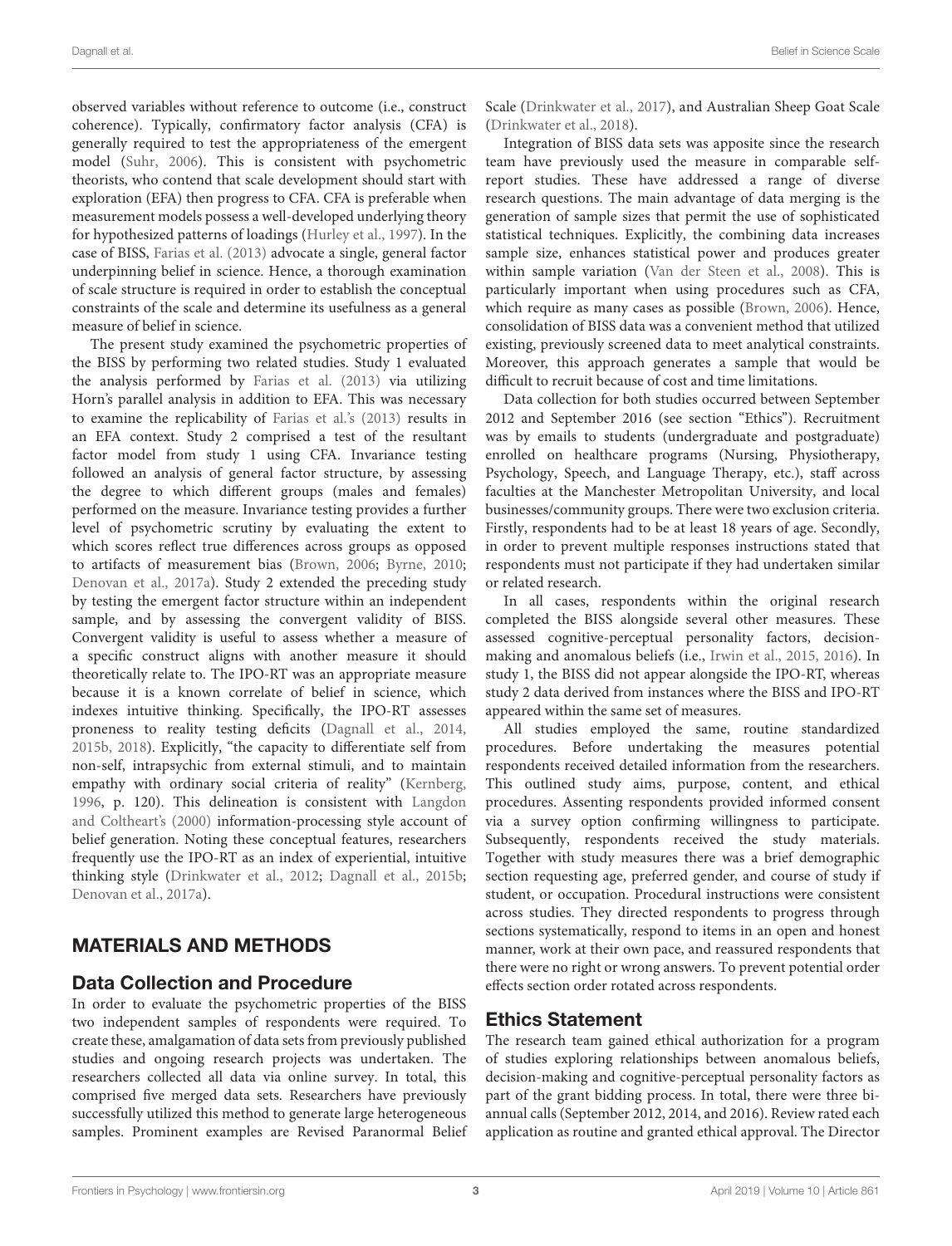observed variables without reference to outcome (i.e., construct coherence). Typically, confirmatory factor analysis (CFA) is generally required to test the appropriateness of the emergent model [\(Suhr,](#page-9-9) [2006\)](#page-9-9). This is consistent with psychometric theorists, who contend that scale development should start with exploration (EFA) then progress to CFA. CFA is preferable when measurement models possess a well-developed underlying theory for hypothesized patterns of loadings [\(Hurley et al.,](#page-8-16) [1997\)](#page-8-16). In the case of BISS, [Farias et al.](#page-8-5) [\(2013\)](#page-8-5) advocate a single, general factor underpinning belief in science. Hence, a thorough examination of scale structure is required in order to establish the conceptual constraints of the scale and determine its usefulness as a general measure of belief in science.

The present study examined the psychometric properties of the BISS by performing two related studies. Study 1 evaluated the analysis performed by [Farias et al.](#page-8-5) [\(2013\)](#page-8-5) via utilizing Horn's parallel analysis in addition to EFA. This was necessary to examine the replicability of [Farias et al.'](#page-8-5)s [\(2013\)](#page-8-5) results in an EFA context. Study 2 comprised a test of the resultant factor model from study 1 using CFA. Invariance testing followed an analysis of general factor structure, by assessing the degree to which different groups (males and females) performed on the measure. Invariance testing provides a further level of psychometric scrutiny by evaluating the extent to which scores reflect true differences across groups as opposed to artifacts of measurement bias [\(Brown,](#page-8-17) [2006;](#page-8-17) [Byrne,](#page-8-18) [2010;](#page-8-18) [Denovan et al.,](#page-8-19) [2017a\)](#page-8-19). Study 2 extended the preceding study by testing the emergent factor structure within an independent sample, and by assessing the convergent validity of BISS. Convergent validity is useful to assess whether a measure of a specific construct aligns with another measure it should theoretically relate to. The IPO-RT was an appropriate measure because it is a known correlate of belief in science, which indexes intuitive thinking. Specifically, the IPO-RT assesses proneness to reality testing deficits [\(Dagnall et al.,](#page-8-20) [2014,](#page-8-20) [2015b,](#page-8-21) [2018\)](#page-8-14). Explicitly, "the capacity to differentiate self from non-self, intrapsychic from external stimuli, and to maintain empathy with ordinary social criteria of reality" [\(Kernberg,](#page-8-22) [1996,](#page-8-22) p. 120). This delineation is consistent with [Langdon](#page-8-23) [and Coltheart'](#page-8-23)s [\(2000\)](#page-8-23) information-processing style account of belief generation. Noting these conceptual features, researchers frequently use the IPO-RT as an index of experiential, intuitive thinking style [\(Drinkwater et al.,](#page-8-12) [2012;](#page-8-12) [Dagnall et al.,](#page-8-21) [2015b;](#page-8-21) [Denovan et al.,](#page-8-19) [2017a\)](#page-8-19).

# MATERIALS AND METHODS

## Data Collection and Procedure

In order to evaluate the psychometric properties of the BISS two independent samples of respondents were required. To create these, amalgamation of data sets from previously published studies and ongoing research projects was undertaken. The researchers collected all data via online survey. In total, this comprised five merged data sets. Researchers have previously successfully utilized this method to generate large heterogeneous samples. Prominent examples are Revised Paranormal Belief Scale [\(Drinkwater et al.,](#page-8-24) [2017\)](#page-8-24), and Australian Sheep Goat Scale [\(Drinkwater et al.,](#page-8-25) [2018\)](#page-8-25).

Integration of BISS data sets was apposite since the research team have previously used the measure in comparable selfreport studies. These have addressed a range of diverse research questions. The main advantage of data merging is the generation of sample sizes that permit the use of sophisticated statistical techniques. Explicitly, the combining data increases sample size, enhances statistical power and produces greater within sample variation [\(Van der Steen et al.,](#page-9-10) [2008\)](#page-9-10). This is particularly important when using procedures such as CFA, which require as many cases as possible [\(Brown,](#page-8-17) [2006\)](#page-8-17). Hence, consolidation of BISS data was a convenient method that utilized existing, previously screened data to meet analytical constraints. Moreover, this approach generates a sample that would be difficult to recruit because of cost and time limitations.

Data collection for both studies occurred between September 2012 and September 2016 (see section "Ethics"). Recruitment was by emails to students (undergraduate and postgraduate) enrolled on healthcare programs (Nursing, Physiotherapy, Psychology, Speech, and Language Therapy, etc.), staff across faculties at the Manchester Metropolitan University, and local businesses/community groups. There were two exclusion criteria. Firstly, respondents had to be at least 18 years of age. Secondly, in order to prevent multiple responses instructions stated that respondents must not participate if they had undertaken similar or related research.

In all cases, respondents within the original research completed the BISS alongside several other measures. These assessed cognitive-perceptual personality factors, decisionmaking and anomalous beliefs (i.e., [Irwin et al.,](#page-8-10) [2015,](#page-8-10) [2016\)](#page-8-8). In study 1, the BISS did not appear alongside the IPO-RT, whereas study 2 data derived from instances where the BISS and IPO-RT appeared within the same set of measures.

All studies employed the same, routine standardized procedures. Before undertaking the measures potential respondents received detailed information from the researchers. This outlined study aims, purpose, content, and ethical procedures. Assenting respondents provided informed consent via a survey option confirming willingness to participate. Subsequently, respondents received the study materials. Together with study measures there was a brief demographic section requesting age, preferred gender, and course of study if student, or occupation. Procedural instructions were consistent across studies. They directed respondents to progress through sections systematically, respond to items in an open and honest manner, work at their own pace, and reassured respondents that there were no right or wrong answers. To prevent potential order effects section order rotated across respondents.

## Ethics Statement

The research team gained ethical authorization for a program of studies exploring relationships between anomalous beliefs, decision-making and cognitive-perceptual personality factors as part of the grant bidding process. In total, there were three biannual calls (September 2012, 2014, and 2016). Review rated each application as routine and granted ethical approval. The Director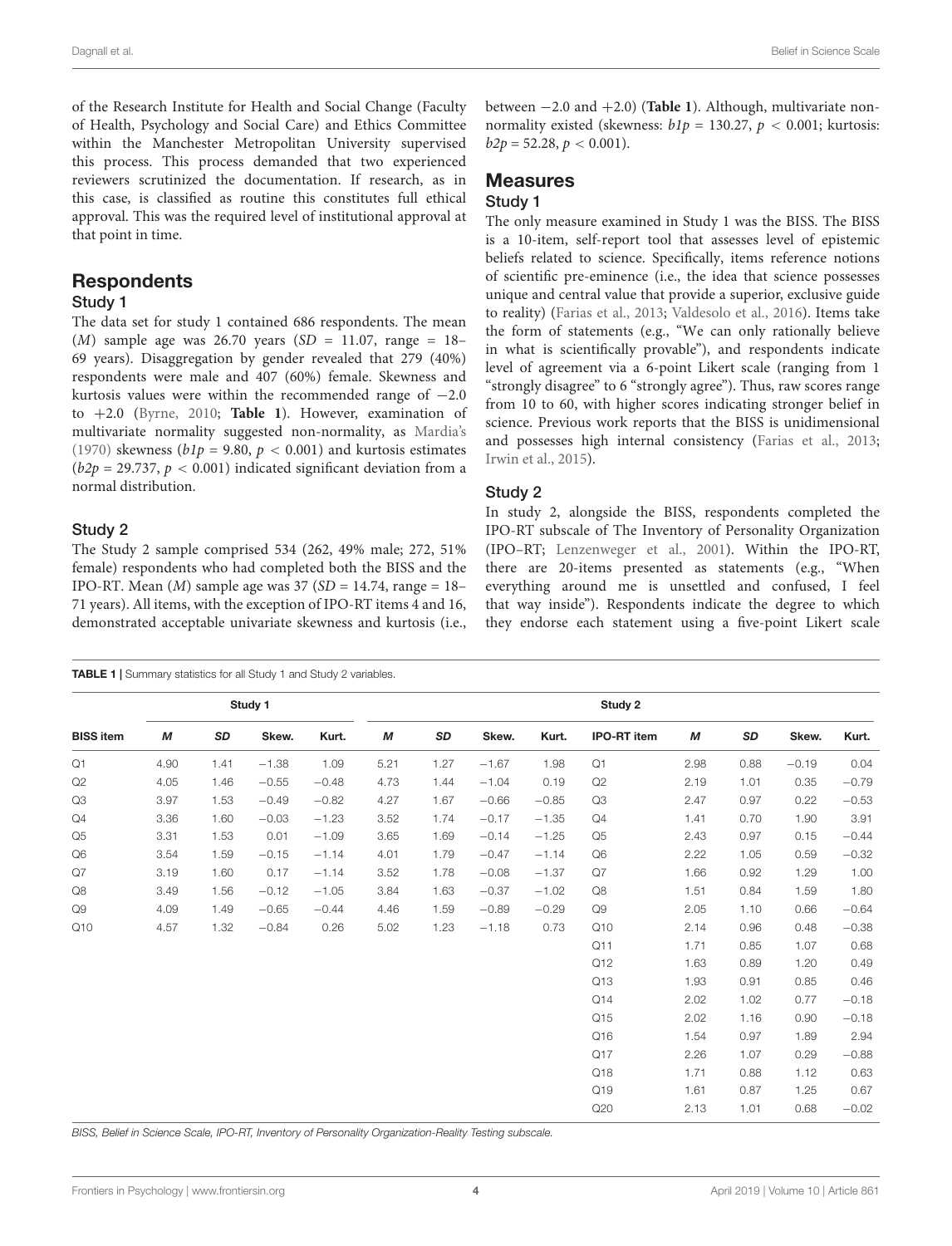of the Research Institute for Health and Social Change (Faculty of Health, Psychology and Social Care) and Ethics Committee within the Manchester Metropolitan University supervised this process. This process demanded that two experienced reviewers scrutinized the documentation. If research, as in this case, is classified as routine this constitutes full ethical approval. This was the required level of institutional approval at that point in time.

## **Respondents**

## Study 1

The data set for study 1 contained 686 respondents. The mean (*M*) sample age was 26.70 years (*SD* = 11.07, range = 18– 69 years). Disaggregation by gender revealed that 279 (40%) respondents were male and 407 (60%) female. Skewness and kurtosis values were within the recommended range of −2.0 to +2.0 [\(Byrne,](#page-8-18) [2010;](#page-8-18) **[Table 1](#page-4-0)**). However, examination of multivariate normality suggested non-normality, as [Mardia'](#page-8-26)s [\(1970\)](#page-8-26) skewness ( $b1p = 9.80$ ,  $p < 0.001$ ) and kurtosis estimates  $(b2p = 29.737, p < 0.001)$  indicated significant deviation from a normal distribution.

### Study 2

The Study 2 sample comprised 534 (262, 49% male; 272, 51% female) respondents who had completed both the BISS and the IPO-RT. Mean  $(M)$  sample age was 37  $(SD = 14.74$ , range = 18– 71 years). All items, with the exception of IPO-RT items 4 and 16, demonstrated acceptable univariate skewness and kurtosis (i.e.,

between −2.0 and +2.0) (**[Table 1](#page-4-0)**). Although, multivariate nonnormality existed (skewness:  $b1p = 130.27$ ,  $p < 0.001$ ; kurtosis:  $b2p = 52.28, p < 0.001$ ).

## **Measures**

## Study 1

The only measure examined in Study 1 was the BISS. The BISS is a 10-item, self-report tool that assesses level of epistemic beliefs related to science. Specifically, items reference notions of scientific pre-eminence (i.e., the idea that science possesses unique and central value that provide a superior, exclusive guide to reality) [\(Farias et al.,](#page-8-5) [2013;](#page-8-5) [Valdesolo et al.,](#page-9-8) [2016\)](#page-9-8). Items take the form of statements (e.g., "We can only rationally believe in what is scientifically provable"), and respondents indicate level of agreement via a 6-point Likert scale (ranging from 1 "strongly disagree" to 6 "strongly agree"). Thus, raw scores range from 10 to 60, with higher scores indicating stronger belief in science. Previous work reports that the BISS is unidimensional and possesses high internal consistency [\(Farias et al.,](#page-8-5) [2013;](#page-8-5) [Irwin et al.,](#page-8-10) [2015\)](#page-8-10).

#### Study 2

In study 2, alongside the BISS, respondents completed the IPO-RT subscale of The Inventory of Personality Organization (IPO–RT; [Lenzenweger et al.,](#page-8-11) [2001\)](#page-8-11). Within the IPO-RT, there are 20-items presented as statements (e.g., "When everything around me is unsettled and confused, I feel that way inside"). Respondents indicate the degree to which they endorse each statement using a five-point Likert scale

<span id="page-4-0"></span>

|                  | Study 1 |      |         |         | Study 2 |      |         |         |                    |      |      |         |         |
|------------------|---------|------|---------|---------|---------|------|---------|---------|--------------------|------|------|---------|---------|
| <b>BISS item</b> | М       | SD   | Skew.   | Kurt.   | М       | SD   | Skew.   | Kurt.   | <b>IPO-RT</b> item | M    | SD   | Skew.   | Kurt.   |
| Q1               | 4.90    | 1.41 | $-1.38$ | 1.09    | 5.21    | 1.27 | $-1.67$ | 1.98    | Q1                 | 2.98 | 0.88 | $-0.19$ | 0.04    |
| Q2               | 4.05    | 1.46 | $-0.55$ | $-0.48$ | 4.73    | 1.44 | $-1.04$ | 0.19    | Q2                 | 2.19 | 1.01 | 0.35    | $-0.79$ |
| Q3               | 3.97    | 1.53 | $-0.49$ | $-0.82$ | 4.27    | 1.67 | $-0.66$ | $-0.85$ | Q3                 | 2.47 | 0.97 | 0.22    | $-0.53$ |
| Q4               | 3.36    | 1.60 | $-0.03$ | $-1.23$ | 3.52    | 1.74 | $-0.17$ | $-1.35$ | Q4                 | 1.41 | 0.70 | 1.90    | 3.91    |
| Q <sub>5</sub>   | 3.31    | 1.53 | 0.01    | $-1.09$ | 3.65    | 1.69 | $-0.14$ | $-1.25$ | Q <sub>5</sub>     | 2.43 | 0.97 | 0.15    | $-0.44$ |
| Q6               | 3.54    | 1.59 | $-0.15$ | $-1.14$ | 4.01    | 1.79 | $-0.47$ | $-1.14$ | Q <sub>6</sub>     | 2.22 | 1.05 | 0.59    | $-0.32$ |
| Q7               | 3.19    | 1.60 | 0.17    | $-1.14$ | 3.52    | 1.78 | $-0.08$ | $-1.37$ | Q7                 | 1.66 | 0.92 | 1.29    | 1.00    |
| Q8               | 3.49    | 1.56 | $-0.12$ | $-1.05$ | 3.84    | 1.63 | $-0.37$ | $-1.02$ | Q8                 | 1.51 | 0.84 | 1.59    | 1.80    |
| Q9               | 4.09    | 1.49 | $-0.65$ | $-0.44$ | 4.46    | 1.59 | $-0.89$ | $-0.29$ | Q9                 | 2.05 | 1.10 | 0.66    | $-0.64$ |
| Q10              | 4.57    | 1.32 | $-0.84$ | 0.26    | 5.02    | 1.23 | $-1.18$ | 0.73    | Q10                | 2.14 | 0.96 | 0.48    | $-0.38$ |
|                  |         |      |         |         |         |      |         |         | Q11                | 1.71 | 0.85 | 1.07    | 0.68    |
|                  |         |      |         |         |         |      |         |         | Q12                | 1.63 | 0.89 | 1.20    | 0.49    |
|                  |         |      |         |         |         |      |         |         | Q13                | 1.93 | 0.91 | 0.85    | 0.46    |
|                  |         |      |         |         |         |      |         |         | Q14                | 2.02 | 1.02 | 0.77    | $-0.18$ |
|                  |         |      |         |         |         |      |         |         | Q15                | 2.02 | 1.16 | 0.90    | $-0.18$ |
|                  |         |      |         |         |         |      |         |         | Q16                | 1.54 | 0.97 | 1.89    | 2.94    |
|                  |         |      |         |         |         |      |         |         | Q17                | 2.26 | 1.07 | 0.29    | $-0.88$ |
|                  |         |      |         |         |         |      |         |         | Q18                | 1.71 | 0.88 | 1.12    | 0.63    |
|                  |         |      |         |         |         |      |         |         | Q19                | 1.61 | 0.87 | 1.25    | 0.67    |
|                  |         |      |         |         |         |      |         |         | Q20                | 2.13 | 1.01 | 0.68    | $-0.02$ |

BISS, Belief in Science Scale, IPO-RT, Inventory of Personality Organization-Reality Testing subscale.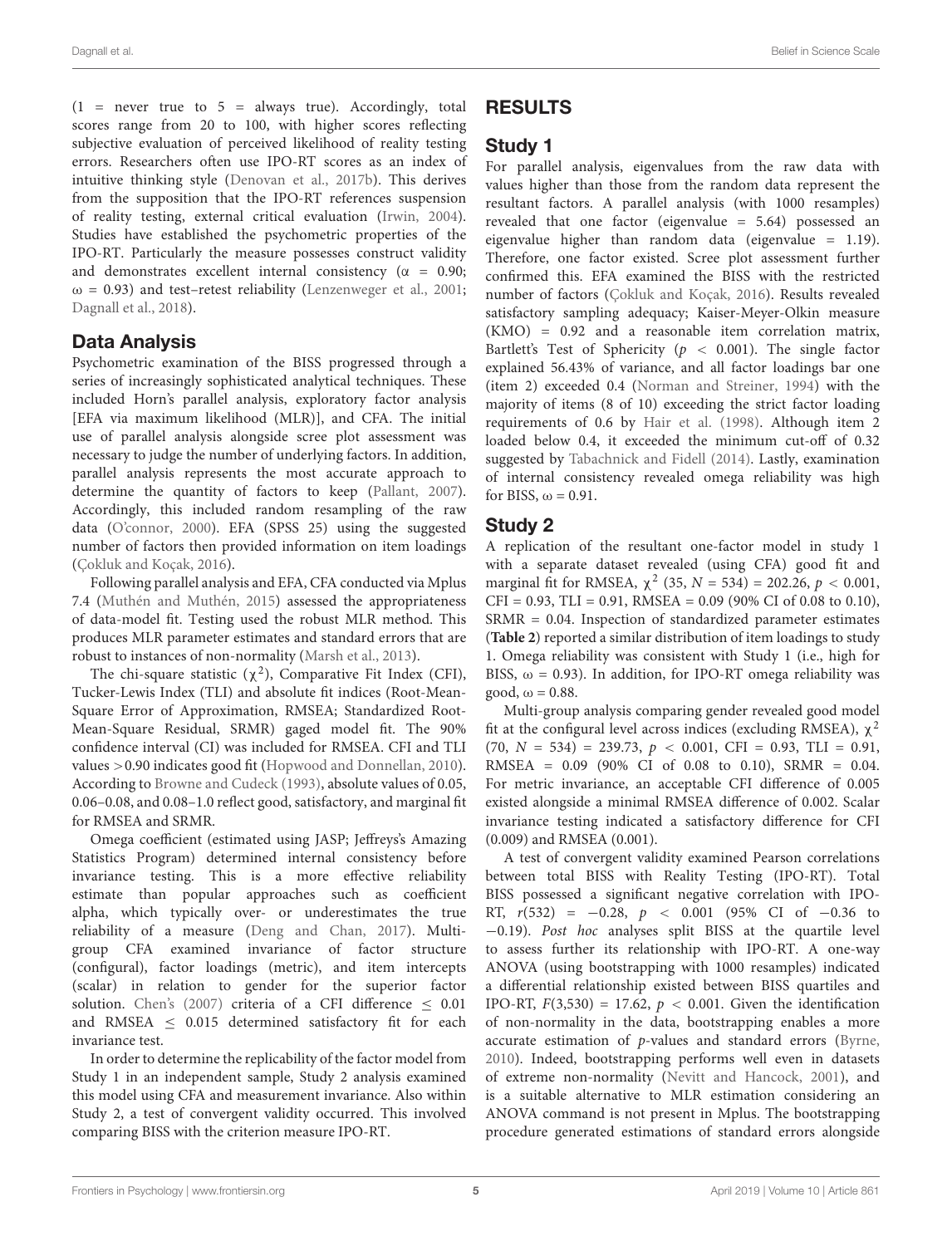$(1$  = never true to 5 = always true). Accordingly, total scores range from 20 to 100, with higher scores reflecting subjective evaluation of perceived likelihood of reality testing errors. Researchers often use IPO-RT scores as an index of intuitive thinking style [\(Denovan et al.,](#page-8-15) [2017b\)](#page-8-15). This derives from the supposition that the IPO-RT references suspension of reality testing, external critical evaluation [\(Irwin,](#page-8-27) [2004\)](#page-8-27). Studies have established the psychometric properties of the IPO-RT. Particularly the measure possesses construct validity and demonstrates excellent internal consistency ( $\alpha = 0.90$ ;  $\omega$  = 0.93) and test–retest reliability [\(Lenzenweger et al.,](#page-8-11) [2001;](#page-8-11) [Dagnall et al.,](#page-8-14) [2018\)](#page-8-14).

## Data Analysis

Psychometric examination of the BISS progressed through a series of increasingly sophisticated analytical techniques. These included Horn's parallel analysis, exploratory factor analysis [EFA via maximum likelihood (MLR)], and CFA. The initial use of parallel analysis alongside scree plot assessment was necessary to judge the number of underlying factors. In addition, parallel analysis represents the most accurate approach to determine the quantity of factors to keep [\(Pallant,](#page-9-11) [2007\)](#page-9-11). Accordingly, this included random resampling of the raw data [\(O'connor,](#page-9-12) [2000\)](#page-9-12). EFA (SPSS 25) using the suggested number of factors then provided information on item loadings [\(Çokluk and Koçak,](#page-8-28) [2016\)](#page-8-28).

Following parallel analysis and EFA, CFA conducted via Mplus 7.4 [\(Muthén and Muthén,](#page-9-13) [2015\)](#page-9-13) assessed the appropriateness of data-model fit. Testing used the robust MLR method. This produces MLR parameter estimates and standard errors that are robust to instances of non-normality [\(Marsh et al.,](#page-8-29) [2013\)](#page-8-29).

The chi-square statistic  $(\chi^2)$ , Comparative Fit Index (CFI), Tucker-Lewis Index (TLI) and absolute fit indices (Root-Mean-Square Error of Approximation, RMSEA; Standardized Root-Mean-Square Residual, SRMR) gaged model fit. The 90% confidence interval (CI) was included for RMSEA. CFI and TLI values >0.90 indicates good fit [\(Hopwood and Donnellan,](#page-8-30) [2010\)](#page-8-30). According to [Browne and Cudeck](#page-8-31) [\(1993\)](#page-8-31), absolute values of 0.05, 0.06–0.08, and 0.08–1.0 reflect good, satisfactory, and marginal fit for RMSEA and SRMR.

Omega coefficient (estimated using JASP; Jeffreys's Amazing Statistics Program) determined internal consistency before invariance testing. This is a more effective reliability estimate than popular approaches such as coefficient alpha, which typically over- or underestimates the true reliability of a measure [\(Deng and Chan,](#page-8-32) [2017\)](#page-8-32). Multigroup CFA examined invariance of factor structure (configural), factor loadings (metric), and item intercepts (scalar) in relation to gender for the superior factor solution. [Chen's](#page-8-33) [\(2007\)](#page-8-33) criteria of a CFI difference  $\leq 0.01$ and RMSEA  $\leq$  0.015 determined satisfactory fit for each invariance test.

In order to determine the replicability of the factor model from Study 1 in an independent sample, Study 2 analysis examined this model using CFA and measurement invariance. Also within Study 2, a test of convergent validity occurred. This involved comparing BISS with the criterion measure IPO-RT.

# RESULTS

# Study 1

For parallel analysis, eigenvalues from the raw data with values higher than those from the random data represent the resultant factors. A parallel analysis (with 1000 resamples) revealed that one factor (eigenvalue = 5.64) possessed an eigenvalue higher than random data (eigenvalue = 1.19). Therefore, one factor existed. Scree plot assessment further confirmed this. EFA examined the BISS with the restricted number of factors [\(Çokluk and Koçak,](#page-8-28) [2016\)](#page-8-28). Results revealed satisfactory sampling adequacy; Kaiser-Meyer-Olkin measure  $(KMO) = 0.92$  and a reasonable item correlation matrix, Bartlett's Test of Sphericity ( $p < 0.001$ ). The single factor explained 56.43% of variance, and all factor loadings bar one (item 2) exceeded 0.4 [\(Norman and Streiner,](#page-9-14) [1994\)](#page-9-14) with the majority of items (8 of 10) exceeding the strict factor loading requirements of 0.6 by [Hair et al.](#page-8-34) [\(1998\)](#page-8-34). Although item 2 loaded below 0.4, it exceeded the minimum cut-off of 0.32 suggested by [Tabachnick and Fidell](#page-9-15) [\(2014\)](#page-9-15). Lastly, examination of internal consistency revealed omega reliability was high for BISS,  $\omega = 0.91$ .

## Study 2

A replication of the resultant one-factor model in study 1 with a separate dataset revealed (using CFA) good fit and marginal fit for RMSEA,  $\chi^2$  (35,  $N = 534$ ) = 202.26,  $p < 0.001$ ,  $CFI = 0.93$ ,  $TLI = 0.91$ , RMSEA = 0.09 (90% CI of 0.08 to 0.10), SRMR = 0.04. Inspection of standardized parameter estimates (**[Table 2](#page-6-0)**) reported a similar distribution of item loadings to study 1. Omega reliability was consistent with Study 1 (i.e., high for BISS,  $\omega = 0.93$ ). In addition, for IPO-RT omega reliability was good,  $\omega = 0.88$ .

Multi-group analysis comparing gender revealed good model fit at the configural level across indices (excluding RMSEA),  $\chi^2$  $(70, N = 534) = 239.73, p < 0.001, CFI = 0.93, TLI = 0.91,$ RMSEA =  $0.09$  (90% CI of 0.08 to 0.10), SRMR = 0.04. For metric invariance, an acceptable CFI difference of 0.005 existed alongside a minimal RMSEA difference of 0.002. Scalar invariance testing indicated a satisfactory difference for CFI (0.009) and RMSEA (0.001).

A test of convergent validity examined Pearson correlations between total BISS with Reality Testing (IPO-RT). Total BISS possessed a significant negative correlation with IPO-RT,  $r(532) = -0.28$ ,  $p < 0.001$  (95% CI of -0.36 to −0.19). Post hoc analyses split BISS at the quartile level to assess further its relationship with IPO-RT. A one-way ANOVA (using bootstrapping with 1000 resamples) indicated a differential relationship existed between BISS quartiles and IPO-RT,  $F(3,530) = 17.62$ ,  $p < 0.001$ . Given the identification of non-normality in the data, bootstrapping enables a more accurate estimation of  $p$ -values and standard errors [\(Byrne,](#page-8-18) [2010\)](#page-8-18). Indeed, bootstrapping performs well even in datasets of extreme non-normality [\(Nevitt and Hancock,](#page-9-16) [2001\)](#page-9-16), and is a suitable alternative to MLR estimation considering an ANOVA command is not present in Mplus. The bootstrapping procedure generated estimations of standard errors alongside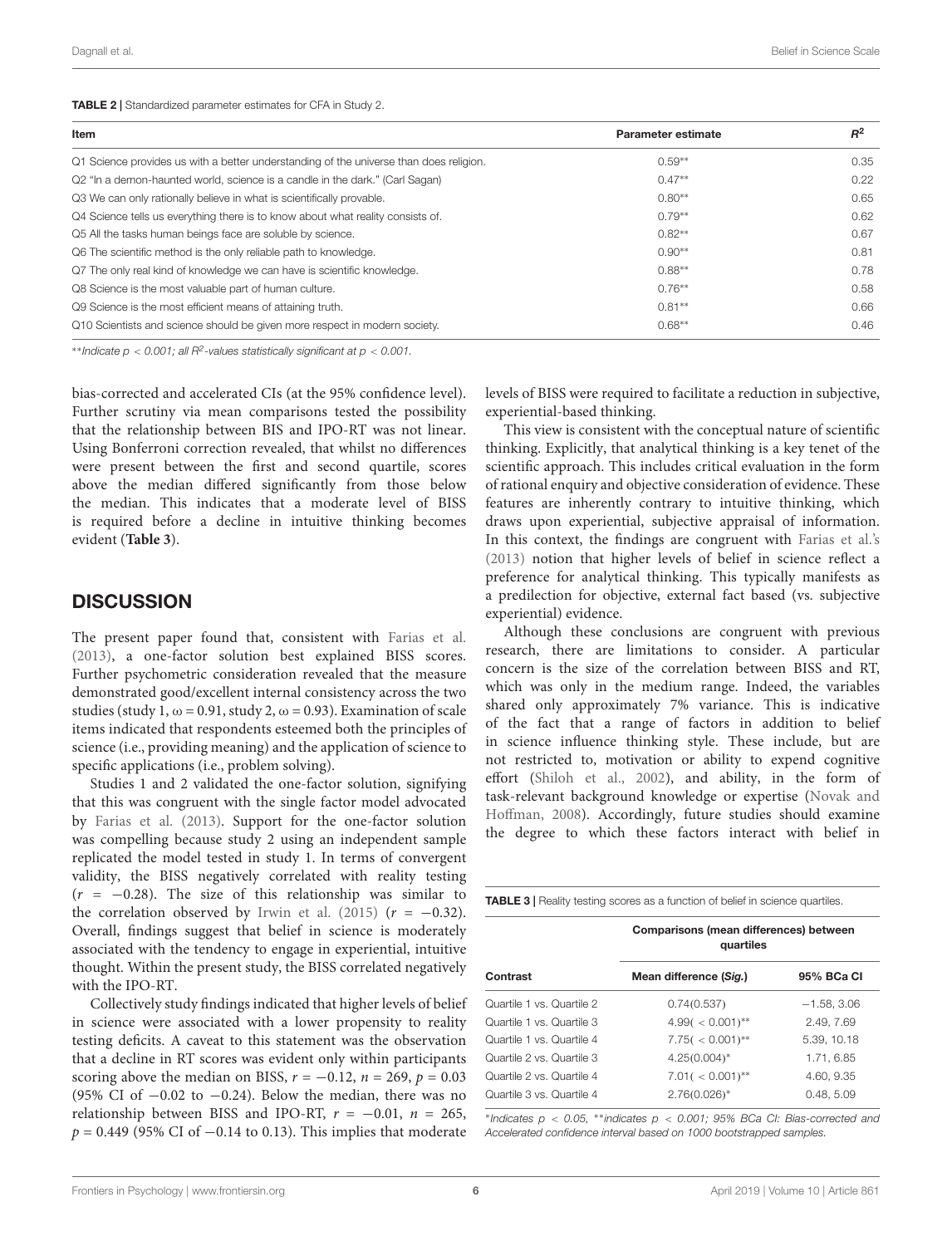<span id="page-6-0"></span>TABLE 2 | Standardized parameter estimates for CFA in Study 2.

| Item                                                                                   | <b>Parameter estimate</b> | $R^2$ |
|----------------------------------------------------------------------------------------|---------------------------|-------|
| Q1 Science provides us with a better understanding of the universe than does religion. | $0.59**$                  | 0.35  |
| Q2 "In a demon-haunted world, science is a candle in the dark." (Carl Sagan)           | $0.47**$                  | 0.22  |
| Q3 We can only rationally believe in what is scientifically provable.                  | $0.80**$                  | 0.65  |
| Q4 Science tells us everything there is to know about what reality consists of.        | $0.79**$                  | 0.62  |
| Q5 All the tasks human beings face are soluble by science.                             | $0.82**$                  | 0.67  |
| Q6 The scientific method is the only reliable path to knowledge.                       | $0.90**$                  | 0.81  |
| Q7 The only real kind of knowledge we can have is scientific knowledge.                | $0.88**$                  | 0.78  |
| Q8 Science is the most valuable part of human culture.                                 | $0.76***$                 | 0.58  |
| Q9 Science is the most efficient means of attaining truth.                             | $0.81**$                  | 0.66  |
| Q10 Scientists and science should be given more respect in modern society.             | $0.68**$                  | 0.46  |

 $*$ \*Indicate  $p < 0.001$ ; all  $R^2$ -values statistically significant at  $p < 0.001$ .

bias-corrected and accelerated CIs (at the 95% confidence level). Further scrutiny via mean comparisons tested the possibility that the relationship between BIS and IPO-RT was not linear. Using Bonferroni correction revealed, that whilst no differences were present between the first and second quartile, scores above the median differed significantly from those below the median. This indicates that a moderate level of BISS is required before a decline in intuitive thinking becomes evident (**[Table 3](#page-6-1)**).

## **DISCUSSION**

The present paper found that, consistent with [Farias et al.](#page-8-5) [\(2013\)](#page-8-5), a one-factor solution best explained BISS scores. Further psychometric consideration revealed that the measure demonstrated good/excellent internal consistency across the two studies (study 1,  $\omega$  = 0.91, study 2,  $\omega$  = 0.93). Examination of scale items indicated that respondents esteemed both the principles of science (i.e., providing meaning) and the application of science to specific applications (i.e., problem solving).

Studies 1 and 2 validated the one-factor solution, signifying that this was congruent with the single factor model advocated by [Farias et al.](#page-8-5) [\(2013\)](#page-8-5). Support for the one-factor solution was compelling because study 2 using an independent sample replicated the model tested in study 1. In terms of convergent validity, the BISS negatively correlated with reality testing  $(r = -0.28)$ . The size of this relationship was similar to the correlation observed by [Irwin et al.](#page-8-10) [\(2015\)](#page-8-10) ( $r = -0.32$ ). Overall, findings suggest that belief in science is moderately associated with the tendency to engage in experiential, intuitive thought. Within the present study, the BISS correlated negatively with the IPO-RT.

Collectively study findings indicated that higher levels of belief in science were associated with a lower propensity to reality testing deficits. A caveat to this statement was the observation that a decline in RT scores was evident only within participants scoring above the median on BISS,  $r = -0.12$ ,  $n = 269$ ,  $p = 0.03$ (95% CI of  $-0.02$  to  $-0.24$ ). Below the median, there was no relationship between BISS and IPO-RT,  $r = -0.01$ ,  $n = 265$ ,  $p = 0.449$  (95% CI of  $-0.14$  to 0.13). This implies that moderate levels of BISS were required to facilitate a reduction in subjective, experiential-based thinking.

This view is consistent with the conceptual nature of scientific thinking. Explicitly, that analytical thinking is a key tenet of the scientific approach. This includes critical evaluation in the form of rational enquiry and objective consideration of evidence. These features are inherently contrary to intuitive thinking, which draws upon experiential, subjective appraisal of information. In this context, the findings are congruent with [Farias et al.'s](#page-8-5) [\(2013\)](#page-8-5) notion that higher levels of belief in science reflect a preference for analytical thinking. This typically manifests as a predilection for objective, external fact based (vs. subjective experiential) evidence.

Although these conclusions are congruent with previous research, there are limitations to consider. A particular concern is the size of the correlation between BISS and RT, which was only in the medium range. Indeed, the variables shared only approximately 7% variance. This is indicative of the fact that a range of factors in addition to belief in science influence thinking style. These include, but are not restricted to, motivation or ability to expend cognitive effort [\(Shiloh et al.,](#page-9-17) [2002\)](#page-9-17), and ability, in the form of task-relevant background knowledge or expertise [\(Novak and](#page-9-18) [Hoffman,](#page-9-18) [2008\)](#page-9-18). Accordingly, future studies should examine the degree to which these factors interact with belief in

<span id="page-6-1"></span>

|                           | Comparisons (mean differences) between<br>quartiles |               |  |  |  |  |
|---------------------------|-----------------------------------------------------|---------------|--|--|--|--|
| Contrast                  | Mean difference (Sig.)                              | 95% BCa CI    |  |  |  |  |
| Quartile 1 vs. Quartile 2 | 0.74(0.537)                                         | $-1.58, 3.06$ |  |  |  |  |
| Quartile 1 vs. Quartile 3 | $4.99( < 0.001)$ **                                 | 2.49. 7.69    |  |  |  |  |
| Quartile 1 vs. Quartile 4 | $7.75(< 0.001)$ **                                  | 5.39.10.18    |  |  |  |  |
| Quartile 2 vs. Quartile 3 | $4.25(0.004)$ *                                     | 1.71.6.85     |  |  |  |  |
| Quartile 2 vs. Quartile 4 | $7.01( < 0.001)$ **                                 | 4.60, 9.35    |  |  |  |  |
| Quartile 3 vs. Quartile 4 | $2.76(0.026)^*$                                     | 0.48, 5.09    |  |  |  |  |

∗ Indicates p < 0.05, ∗∗indicates p < 0.001; 95% BCa CI: Bias-corrected and Accelerated confidence interval based on 1000 bootstrapped samples.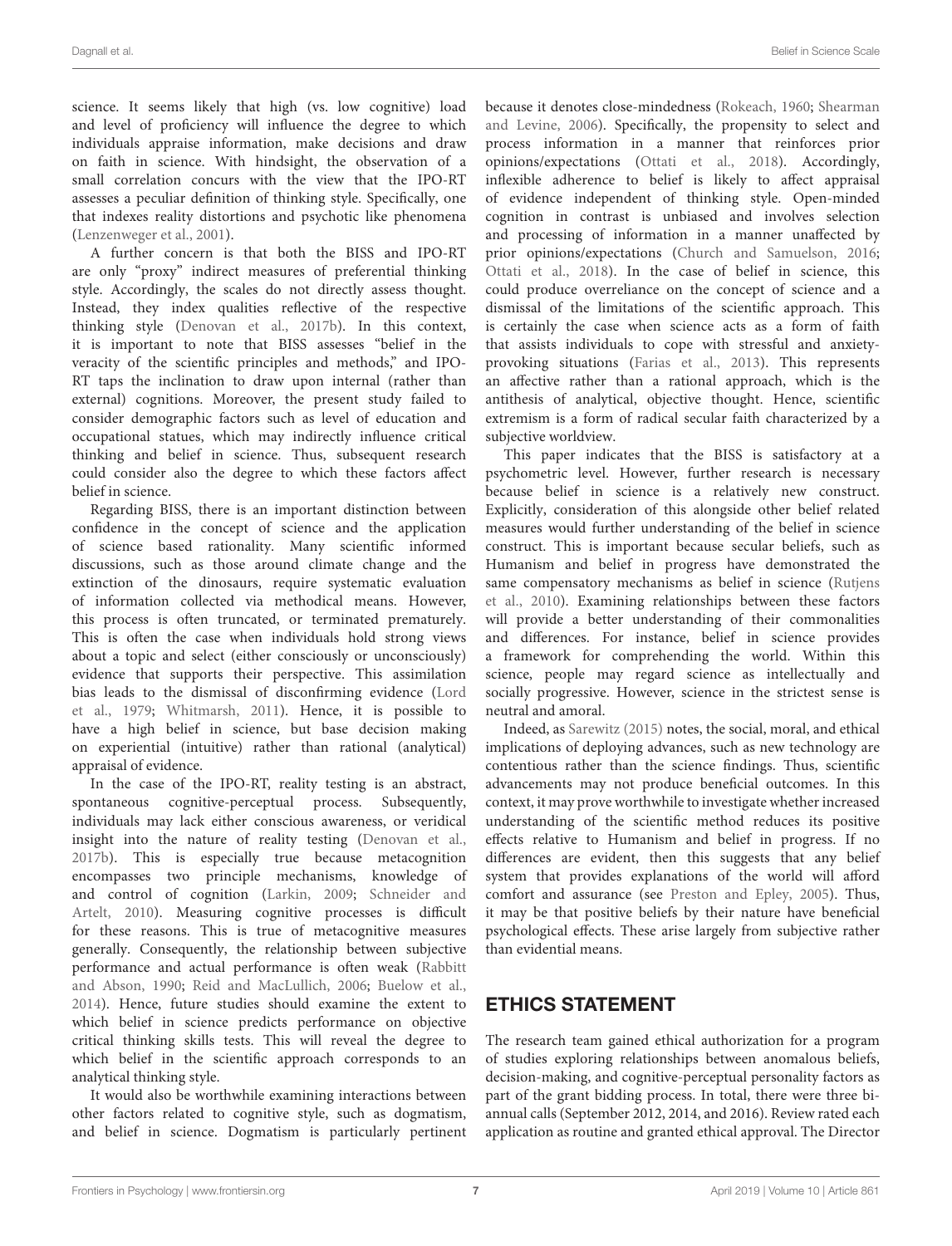science. It seems likely that high (vs. low cognitive) load and level of proficiency will influence the degree to which individuals appraise information, make decisions and draw on faith in science. With hindsight, the observation of a small correlation concurs with the view that the IPO-RT assesses a peculiar definition of thinking style. Specifically, one that indexes reality distortions and psychotic like phenomena [\(Lenzenweger et al.,](#page-8-11) [2001\)](#page-8-11).

A further concern is that both the BISS and IPO-RT are only "proxy" indirect measures of preferential thinking style. Accordingly, the scales do not directly assess thought. Instead, they index qualities reflective of the respective thinking style [\(Denovan et al.,](#page-8-15) [2017b\)](#page-8-15). In this context, it is important to note that BISS assesses "belief in the veracity of the scientific principles and methods," and IPO-RT taps the inclination to draw upon internal (rather than external) cognitions. Moreover, the present study failed to consider demographic factors such as level of education and occupational statues, which may indirectly influence critical thinking and belief in science. Thus, subsequent research could consider also the degree to which these factors affect belief in science.

Regarding BISS, there is an important distinction between confidence in the concept of science and the application of science based rationality. Many scientific informed discussions, such as those around climate change and the extinction of the dinosaurs, require systematic evaluation of information collected via methodical means. However, this process is often truncated, or terminated prematurely. This is often the case when individuals hold strong views about a topic and select (either consciously or unconsciously) evidence that supports their perspective. This assimilation bias leads to the dismissal of disconfirming evidence [\(Lord](#page-8-35) [et al.,](#page-8-35) [1979;](#page-8-35) [Whitmarsh,](#page-9-19) [2011\)](#page-9-19). Hence, it is possible to have a high belief in science, but base decision making on experiential (intuitive) rather than rational (analytical) appraisal of evidence.

In the case of the IPO-RT, reality testing is an abstract, spontaneous cognitive-perceptual process. Subsequently, individuals may lack either conscious awareness, or veridical insight into the nature of reality testing [\(Denovan et al.,](#page-8-15) [2017b\)](#page-8-15). This is especially true because metacognition encompasses two principle mechanisms, knowledge of and control of cognition [\(Larkin,](#page-8-36) [2009;](#page-8-36) [Schneider and](#page-9-20) [Artelt,](#page-9-20) [2010\)](#page-9-20). Measuring cognitive processes is difficult for these reasons. This is true of metacognitive measures generally. Consequently, the relationship between subjective performance and actual performance is often weak [\(Rabbitt](#page-9-21) [and Abson,](#page-9-21) [1990;](#page-9-21) [Reid and MacLullich,](#page-9-22) [2006;](#page-9-22) [Buelow et al.,](#page-8-37) [2014\)](#page-8-37). Hence, future studies should examine the extent to which belief in science predicts performance on objective critical thinking skills tests. This will reveal the degree to which belief in the scientific approach corresponds to an analytical thinking style.

It would also be worthwhile examining interactions between other factors related to cognitive style, such as dogmatism, and belief in science. Dogmatism is particularly pertinent because it denotes close-mindedness [\(Rokeach,](#page-9-23) [1960;](#page-9-23) [Shearman](#page-9-24) [and Levine,](#page-9-24) [2006\)](#page-9-24). Specifically, the propensity to select and process information in a manner that reinforces prior opinions/expectations [\(Ottati et al.,](#page-9-25) [2018\)](#page-9-25). Accordingly, inflexible adherence to belief is likely to affect appraisal of evidence independent of thinking style. Open-minded cognition in contrast is unbiased and involves selection and processing of information in a manner unaffected by prior opinions/expectations [\(Church and Samuelson,](#page-8-38) [2016;](#page-8-38) [Ottati et al.,](#page-9-25) [2018\)](#page-9-25). In the case of belief in science, this could produce overreliance on the concept of science and a dismissal of the limitations of the scientific approach. This is certainly the case when science acts as a form of faith that assists individuals to cope with stressful and anxietyprovoking situations [\(Farias et al.,](#page-8-5) [2013\)](#page-8-5). This represents an affective rather than a rational approach, which is the antithesis of analytical, objective thought. Hence, scientific extremism is a form of radical secular faith characterized by a subjective worldview.

This paper indicates that the BISS is satisfactory at a psychometric level. However, further research is necessary because belief in science is a relatively new construct. Explicitly, consideration of this alongside other belief related measures would further understanding of the belief in science construct. This is important because secular beliefs, such as Humanism and belief in progress have demonstrated the same compensatory mechanisms as belief in science [\(Rutjens](#page-9-2) [et al.,](#page-9-2) [2010\)](#page-9-2). Examining relationships between these factors will provide a better understanding of their commonalities and differences. For instance, belief in science provides a framework for comprehending the world. Within this science, people may regard science as intellectually and socially progressive. However, science in the strictest sense is neutral and amoral.

Indeed, as [Sarewitz](#page-9-26) [\(2015\)](#page-9-26) notes, the social, moral, and ethical implications of deploying advances, such as new technology are contentious rather than the science findings. Thus, scientific advancements may not produce beneficial outcomes. In this context, it may prove worthwhile to investigate whether increased understanding of the scientific method reduces its positive effects relative to Humanism and belief in progress. If no differences are evident, then this suggests that any belief system that provides explanations of the world will afford comfort and assurance (see [Preston and Epley,](#page-9-27) [2005\)](#page-9-27). Thus, it may be that positive beliefs by their nature have beneficial psychological effects. These arise largely from subjective rather than evidential means.

# ETHICS STATEMENT

The research team gained ethical authorization for a program of studies exploring relationships between anomalous beliefs, decision-making, and cognitive-perceptual personality factors as part of the grant bidding process. In total, there were three biannual calls (September 2012, 2014, and 2016). Review rated each application as routine and granted ethical approval. The Director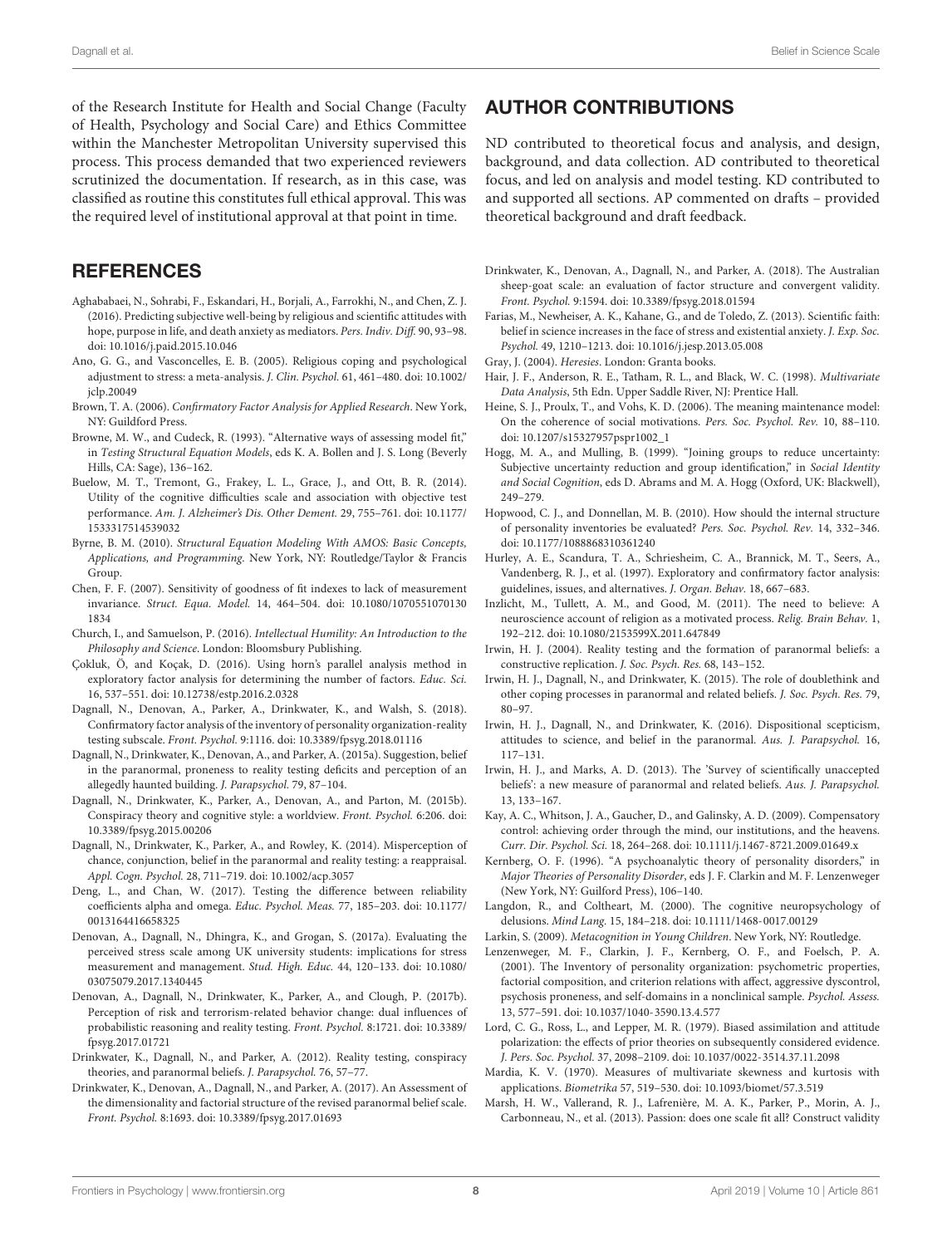of the Research Institute for Health and Social Change (Faculty of Health, Psychology and Social Care) and Ethics Committee within the Manchester Metropolitan University supervised this process. This process demanded that two experienced reviewers scrutinized the documentation. If research, as in this case, was classified as routine this constitutes full ethical approval. This was the required level of institutional approval at that point in time.

## **REFERENCES**

- <span id="page-8-7"></span>Aghababaei, N., Sohrabi, F., Eskandari, H., Borjali, A., Farrokhi, N., and Chen, Z. J. (2016). Predicting subjective well-being by religious and scientific attitudes with hope, purpose in life, and death anxiety as mediators. Pers. Indiv. Diff. 90, 93–98. [doi: 10.1016/j.paid.2015.10.046](https://doi.org/10.1016/j.paid.2015.10.046)
- <span id="page-8-4"></span>Ano, G. G., and Vasconcelles, E. B. (2005). Religious coping and psychological adjustment to stress: a meta-analysis. J. Clin. Psychol. 61, 461–480. [doi: 10.1002/](https://doi.org/10.1002/jclp.20049) [jclp.20049](https://doi.org/10.1002/jclp.20049)
- <span id="page-8-17"></span>Brown, T. A. (2006). Confirmatory Factor Analysis for Applied Research. New York, NY: Guildford Press.
- <span id="page-8-31"></span>Browne, M. W., and Cudeck, R. (1993). "Alternative ways of assessing model fit," in Testing Structural Equation Models, eds K. A. Bollen and J. S. Long (Beverly Hills, CA: Sage), 136–162.
- <span id="page-8-37"></span>Buelow, M. T., Tremont, G., Frakey, L. L., Grace, J., and Ott, B. R. (2014). Utility of the cognitive difficulties scale and association with objective test performance. Am. J. Alzheimer's Dis. Other Dement. 29, 755–761. [doi: 10.1177/](https://doi.org/10.1177/1533317514539032) [1533317514539032](https://doi.org/10.1177/1533317514539032)
- <span id="page-8-18"></span>Byrne, B. M. (2010). Structural Equation Modeling With AMOS: Basic Concepts, Applications, and Programming. New York, NY: Routledge/Taylor & Francis Group.
- <span id="page-8-33"></span>Chen, F. F. (2007). Sensitivity of goodness of fit indexes to lack of measurement invariance. Struct. Equa. Model. 14, 464–504. [doi: 10.1080/1070551070130](https://doi.org/10.1080/10705510701301834) [1834](https://doi.org/10.1080/10705510701301834)
- <span id="page-8-38"></span>Church, I., and Samuelson, P. (2016). Intellectual Humility: An Introduction to the Philosophy and Science. London: Bloomsbury Publishing.
- <span id="page-8-28"></span>Çokluk, Ö, and Koçak, D. (2016). Using horn's parallel analysis method in exploratory factor analysis for determining the number of factors. Educ. Sci. 16, 537–551. [doi: 10.12738/estp.2016.2.0328](https://doi.org/10.12738/estp.2016.2.0328)
- <span id="page-8-14"></span>Dagnall, N., Denovan, A., Parker, A., Drinkwater, K., and Walsh, S. (2018). Confirmatory factor analysis of the inventory of personality organization-reality testing subscale. Front. Psychol. 9:1116. [doi: 10.3389/fpsyg.2018.01116](https://doi.org/10.3389/fpsyg.2018.01116)
- <span id="page-8-13"></span>Dagnall, N., Drinkwater, K., Denovan, A., and Parker, A. (2015a). Suggestion, belief in the paranormal, proneness to reality testing deficits and perception of an allegedly haunted building. J. Parapsychol. 79, 87–104.
- <span id="page-8-21"></span>Dagnall, N., Drinkwater, K., Parker, A., Denovan, A., and Parton, M. (2015b). Conspiracy theory and cognitive style: a worldview. Front. Psychol. 6:206. [doi:](https://doi.org/10.3389/fpsyg.2015.00206) [10.3389/fpsyg.2015.00206](https://doi.org/10.3389/fpsyg.2015.00206)
- <span id="page-8-20"></span>Dagnall, N., Drinkwater, K., Parker, A., and Rowley, K. (2014). Misperception of chance, conjunction, belief in the paranormal and reality testing: a reappraisal. Appl. Cogn. Psychol. 28, 711–719. [doi: 10.1002/acp.3057](https://doi.org/10.1002/acp.3057)
- <span id="page-8-32"></span>Deng, L., and Chan, W. (2017). Testing the difference between reliability coefficients alpha and omega. Educ. Psychol. Meas. 77, 185–203. [doi: 10.1177/](https://doi.org/10.1177/0013164416658325) [0013164416658325](https://doi.org/10.1177/0013164416658325)
- <span id="page-8-19"></span>Denovan, A., Dagnall, N., Dhingra, K., and Grogan, S. (2017a). Evaluating the perceived stress scale among UK university students: implications for stress measurement and management. Stud. High. Educ. 44, 120–133. [doi: 10.1080/](https://doi.org/10.1080/03075079.2017.1340445) [03075079.2017.1340445](https://doi.org/10.1080/03075079.2017.1340445)
- <span id="page-8-15"></span>Denovan, A., Dagnall, N., Drinkwater, K., Parker, A., and Clough, P. (2017b). Perception of risk and terrorism-related behavior change: dual influences of probabilistic reasoning and reality testing. Front. Psychol. 8:1721. [doi: 10.3389/](https://doi.org/10.3389/fpsyg.2017.01721) [fpsyg.2017.01721](https://doi.org/10.3389/fpsyg.2017.01721)
- <span id="page-8-12"></span>Drinkwater, K., Dagnall, N., and Parker, A. (2012). Reality testing, conspiracy theories, and paranormal beliefs. J. Parapsychol. 76, 57–77.
- <span id="page-8-24"></span>Drinkwater, K., Denovan, A., Dagnall, N., and Parker, A. (2017). An Assessment of the dimensionality and factorial structure of the revised paranormal belief scale. Front. Psychol. 8:1693. [doi: 10.3389/fpsyg.2017.01693](https://doi.org/10.3389/fpsyg.2017.01693)

## AUTHOR CONTRIBUTIONS

ND contributed to theoretical focus and analysis, and design, background, and data collection. AD contributed to theoretical focus, and led on analysis and model testing. KD contributed to and supported all sections. AP commented on drafts – provided theoretical background and draft feedback.

- <span id="page-8-25"></span>Drinkwater, K., Denovan, A., Dagnall, N., and Parker, A. (2018). The Australian sheep-goat scale: an evaluation of factor structure and convergent validity. Front. Psychol. 9:1594. [doi: 10.3389/fpsyg.2018.01594](https://doi.org/10.3389/fpsyg.2018.01594)
- <span id="page-8-5"></span>Farias, M., Newheiser, A. K., Kahane, G., and de Toledo, Z. (2013). Scientific faith: belief in science increases in the face of stress and existential anxiety. J. Exp. Soc. Psychol. 49, 1210–1213. [doi: 10.1016/j.jesp.2013.05.008](https://doi.org/10.1016/j.jesp.2013.05.008)
- <span id="page-8-6"></span>Gray, J. (2004). Heresies. London: Granta books.
- <span id="page-8-34"></span>Hair, J. F., Anderson, R. E., Tatham, R. L., and Black, W. C. (1998). Multivariate Data Analysis, 5th Edn. Upper Saddle River, NJ: Prentice Hall.
- <span id="page-8-1"></span>Heine, S. J., Proulx, T., and Vohs, K. D. (2006). The meaning maintenance model: On the coherence of social motivations. Pers. Soc. Psychol. Rev. 10, 88–110. [doi: 10.1207/s15327957pspr1002\\_1](https://doi.org/10.1207/s15327957pspr1002_1)
- <span id="page-8-0"></span>Hogg, M. A., and Mulling, B. (1999). "Joining groups to reduce uncertainty: Subjective uncertainty reduction and group identification," in Social Identity and Social Cognition, eds D. Abrams and M. A. Hogg (Oxford, UK: Blackwell), 249–279.
- <span id="page-8-30"></span>Hopwood, C. J., and Donnellan, M. B. (2010). How should the internal structure of personality inventories be evaluated? Pers. Soc. Psychol. Rev. 14, 332–346. [doi: 10.1177/1088868310361240](https://doi.org/10.1177/1088868310361240)
- <span id="page-8-16"></span>Hurley, A. E., Scandura, T. A., Schriesheim, C. A., Brannick, M. T., Seers, A., Vandenberg, R. J., et al. (1997). Exploratory and confirmatory factor analysis: guidelines, issues, and alternatives. J. Organ. Behav. 18, 667–683.
- <span id="page-8-3"></span>Inzlicht, M., Tullett, A. M., and Good, M. (2011). The need to believe: A neuroscience account of religion as a motivated process. Relig. Brain Behav. 1, 192–212. [doi: 10.1080/2153599X.2011.647849](https://doi.org/10.1080/2153599X.2011.647849)
- <span id="page-8-27"></span>Irwin, H. J. (2004). Reality testing and the formation of paranormal beliefs: a constructive replication. J. Soc. Psych. Res. 68, 143–152.
- <span id="page-8-10"></span>Irwin, H. J., Dagnall, N., and Drinkwater, K. (2015). The role of doublethink and other coping processes in paranormal and related beliefs. J. Soc. Psych. Res. 79, 80–97.
- <span id="page-8-8"></span>Irwin, H. J., Dagnall, N., and Drinkwater, K. (2016). Dispositional scepticism, attitudes to science, and belief in the paranormal. Aus. J. Parapsychol. 16, 117–131.
- <span id="page-8-9"></span>Irwin, H. J., and Marks, A. D. (2013). The 'Survey of scientifically unaccepted beliefs': a new measure of paranormal and related beliefs. Aus. J. Parapsychol. 13, 133–167.
- <span id="page-8-2"></span>Kay, A. C., Whitson, J. A., Gaucher, D., and Galinsky, A. D. (2009). Compensatory control: achieving order through the mind, our institutions, and the heavens. Curr. Dir. Psychol. Sci. 18, 264–268. [doi: 10.1111/j.1467-8721.2009.01649.x](https://doi.org/10.1111/j.1467-8721.2009.01649.x)
- <span id="page-8-22"></span>Kernberg, O. F. (1996). "A psychoanalytic theory of personality disorders," in Major Theories of Personality Disorder, eds J. F. Clarkin and M. F. Lenzenweger (New York, NY: Guilford Press), 106–140.
- <span id="page-8-23"></span>Langdon, R., and Coltheart, M. (2000). The cognitive neuropsychology of delusions. Mind Lang. 15, 184–218. [doi: 10.1111/1468-0017.00129](https://doi.org/10.1111/1468-0017.00129)
- <span id="page-8-36"></span>Larkin, S. (2009). Metacognition in Young Children. New York, NY: Routledge.
- <span id="page-8-11"></span>Lenzenweger, M. F., Clarkin, J. F., Kernberg, O. F., and Foelsch, P. A. (2001). The Inventory of personality organization: psychometric properties, factorial composition, and criterion relations with affect, aggressive dyscontrol, psychosis proneness, and self-domains in a nonclinical sample. Psychol. Assess. 13, 577–591. [doi: 10.1037/1040-3590.13.4.577](https://doi.org/10.1037/1040-3590.13.4.577)
- <span id="page-8-35"></span>Lord, C. G., Ross, L., and Lepper, M. R. (1979). Biased assimilation and attitude polarization: the effects of prior theories on subsequently considered evidence. J. Pers. Soc. Psychol. 37, 2098–2109. [doi: 10.1037/0022-3514.37.11.2098](https://doi.org/10.1037/0022-3514.37.11.2098)
- <span id="page-8-26"></span>Mardia, K. V. (1970). Measures of multivariate skewness and kurtosis with applications. Biometrika 57, 519–530. [doi: 10.1093/biomet/57.3.519](https://doi.org/10.1093/biomet/57.3.519)
- <span id="page-8-29"></span>Marsh, H. W., Vallerand, R. J., Lafrenière, M. A. K., Parker, P., Morin, A. J., Carbonneau, N., et al. (2013). Passion: does one scale fit all? Construct validity